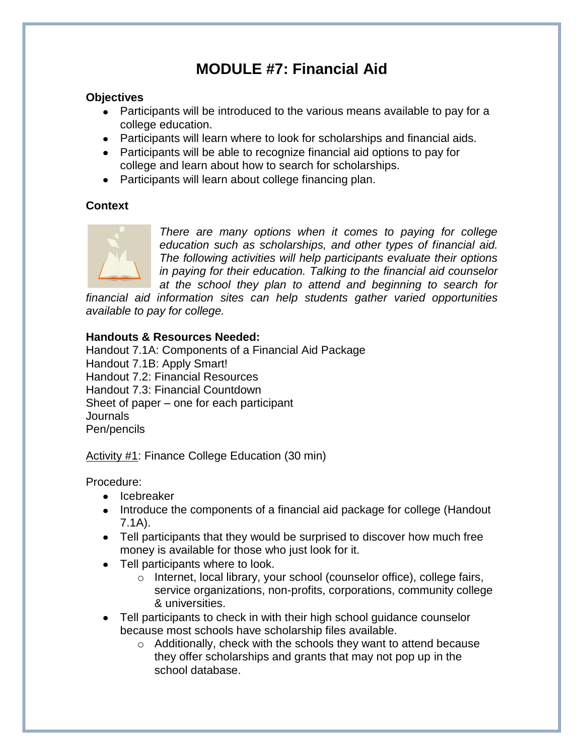# **MODULE #7: Financial Aid**

#### **Objectives**

- Participants will be introduced to the various means available to pay for a college education.
- Participants will learn where to look for scholarships and financial aids.
- Participants will be able to recognize financial aid options to pay for college and learn about how to search for scholarships.
- Participants will learn about college financing plan.

#### **Context**



*There are many options when it comes to paying for college education such as scholarships, and other types of financial aid. The following activities will help participants evaluate their options in paying for their education. Talking to the financial aid counselor at the school they plan to attend and beginning to search for* 

*financial aid information sites can help students gather varied opportunities available to pay for college.*

#### **Handouts & Resources Needed:**

Handout 7.1A: Components of a Financial Aid Package Handout 7.1B: Apply Smart! Handout 7.2: Financial Resources Handout 7.3: Financial Countdown Sheet of paper – one for each participant **Journals** Pen/pencils

Activity #1: Finance College Education (30 min)

Procedure:

- Icebreaker
- Introduce the components of a financial aid package for college (Handout 7.1A).
- Tell participants that they would be surprised to discover how much free money is available for those who just look for it.
- Tell participants where to look.
	- o Internet, local library, your school (counselor office), college fairs, service organizations, non-profits, corporations, community college & universities.
- Tell participants to check in with their high school guidance counselor because most schools have scholarship files available.
	- o Additionally, check with the schools they want to attend because they offer scholarships and grants that may not pop up in the school database.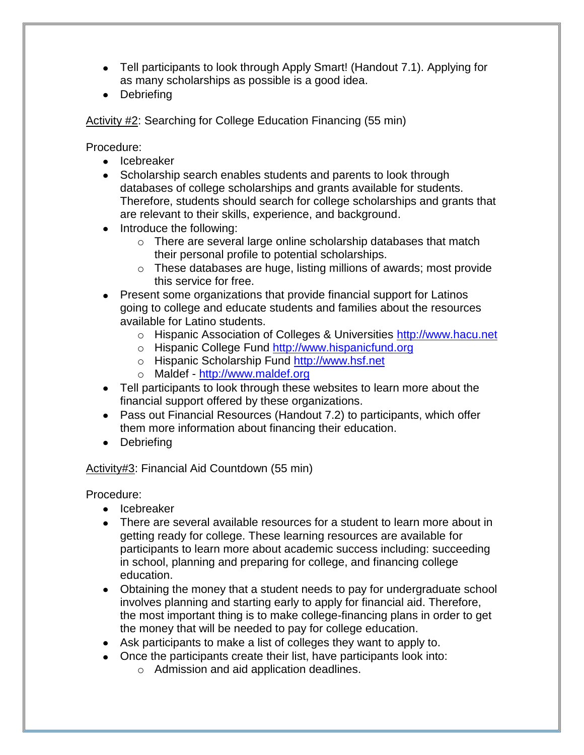- Tell participants to look through Apply Smart! (Handout 7.1). Applying for as many scholarships as possible is a good idea.
- Debriefing

Activity #2: Searching for College Education Financing (55 min)

Procedure:

- Icebreaker
- Scholarship search enables students and parents to look through databases of college scholarships and grants available for students. Therefore, students should search for college scholarships and grants that are relevant to their skills, experience, and background.
- Introduce the following:
	- o There are several large online scholarship databases that match their personal profile to potential scholarships.
	- o These databases are huge, listing millions of awards; most provide this service for free.
- Present some organizations that provide financial support for Latinos going to college and educate students and families about the resources available for Latino students.
	- o Hispanic Association of Colleges & Universities [http://www.hacu.net](http://www.hacu.net/)
	- o Hispanic College Fund [http://www.hispanicfund.org](http://www.hispanicfund.org/)
	- o Hispanic Scholarship Fund [http://www.hsf.net](http://www.hsf.net/)
	- o Maldef [http://www.maldef.org](http://www.maldef.org/)
- Tell participants to look through these websites to learn more about the financial support offered by these organizations.
- Pass out Financial Resources (Handout 7.2) to participants, which offer them more information about financing their education.
- Debriefing

#### Activity#3: Financial Aid Countdown (55 min)

Procedure:

- Icebreaker
- There are several available resources for a student to learn more about in getting ready for college. These learning resources are available for participants to learn more about academic success including: succeeding in school, planning and preparing for college, and financing college education.
- Obtaining the money that a student needs to pay for undergraduate school involves planning and starting early to apply for financial aid. Therefore, the most important thing is to make college-financing plans in order to get the money that will be needed to pay for college education.
- Ask participants to make a list of colleges they want to apply to.
- Once the participants create their list, have participants look into:
	- o Admission and aid application deadlines.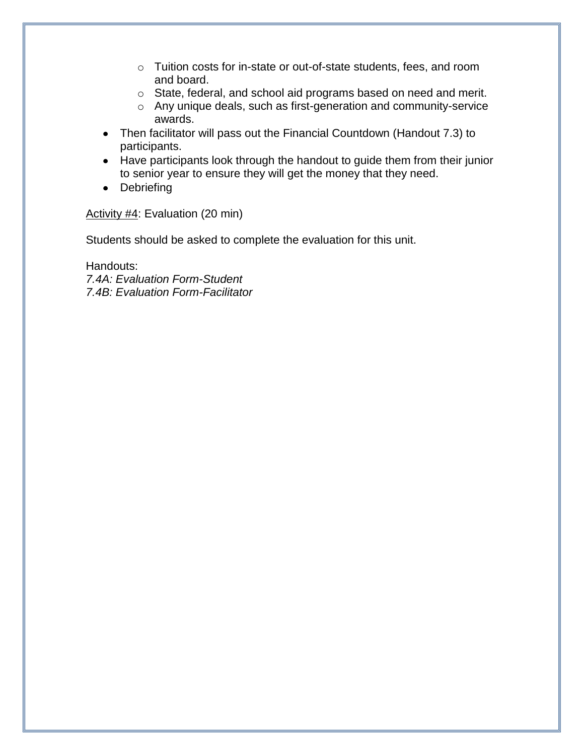- o Tuition costs for in-state or out-of-state students, fees, and room and board.
- o State, federal, and school aid programs based on need and merit.
- o Any unique deals, such as first-generation and community-service awards.
- Then facilitator will pass out the Financial Countdown (Handout 7.3) to participants.
- Have participants look through the handout to guide them from their junior to senior year to ensure they will get the money that they need.
- Debriefing

Activity #4: Evaluation (20 min)

Students should be asked to complete the evaluation for this unit.

Handouts: *7.4A: Evaluation Form-Student 7.4B: Evaluation Form-Facilitator*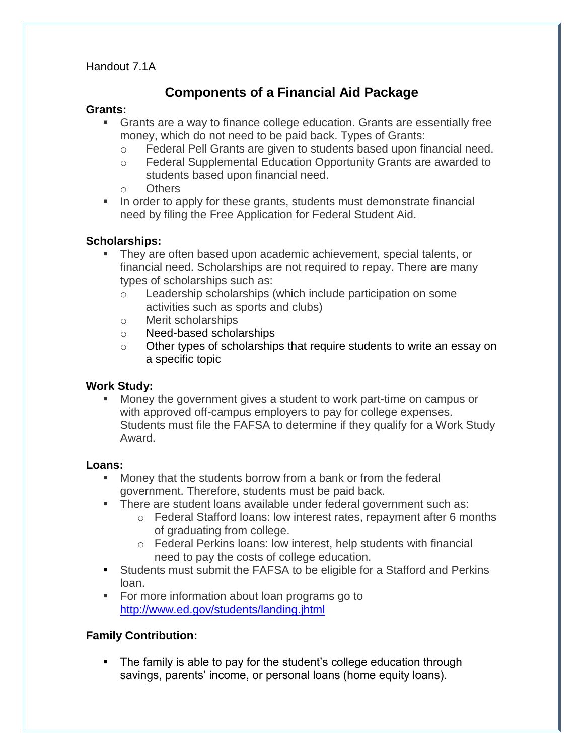Handout 7.1A

### **Components of a Financial Aid Package**

#### **Grants:**

- Grants are a way to finance college education. Grants are essentially free money, which do not need to be paid back. Types of Grants:
	- o Federal Pell Grants are given to students based upon financial need.
	- o Federal Supplemental Education Opportunity Grants are awarded to students based upon financial need.
	- o Others
- In order to apply for these grants, students must demonstrate financial need by filing the Free Application for Federal Student Aid.

#### **Scholarships:**

- They are often based upon academic achievement, special talents, or financial need. Scholarships are not required to repay. There are many types of scholarships such as:
	- o Leadership scholarships (which include participation on some activities such as sports and clubs)
	- o Merit scholarships
	- o Need-based scholarships
	- o Other types of scholarships that require students to write an essay on a specific topic

#### **Work Study:**

 Money the government gives a student to work part-time on campus or with approved off-campus employers to pay for college expenses. Students must file the FAFSA to determine if they qualify for a Work Study Award.

#### **Loans:**

- Money that the students borrow from a bank or from the federal government. Therefore, students must be paid back.
- **There are student loans available under federal government such as:** 
	- $\circ$  Federal Stafford loans: low interest rates, repayment after 6 months of graduating from college.
	- o Federal Perkins loans: low interest, help students with financial need to pay the costs of college education.
- Students must submit the FAFSA to be eligible for a Stafford and Perkins loan.
- **For more information about loan programs go to** <http://www.ed.gov/students/landing.jhtml>

#### **Family Contribution:**

 The family is able to pay for the student's college education through savings, parents' income, or personal loans (home equity loans).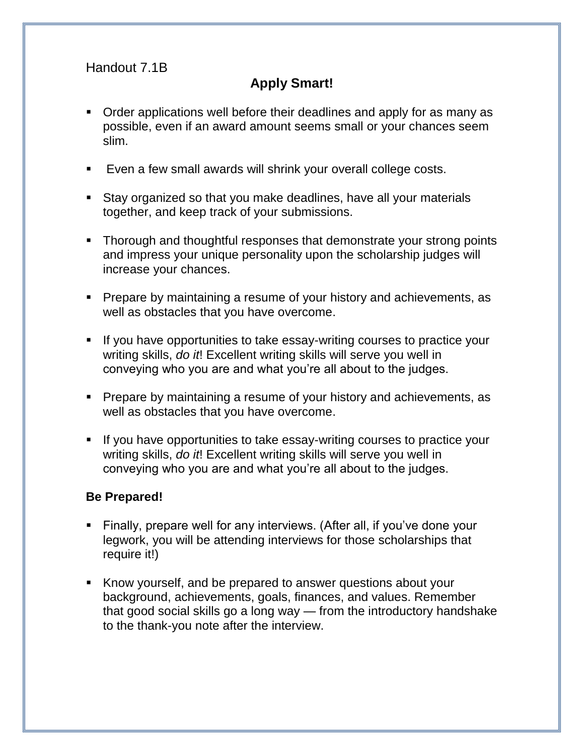## Handout 7.1B

# **Apply Smart!**

- Order applications well before their deadlines and apply for as many as possible, even if an award amount seems small or your chances seem slim.
- Even a few small awards will shrink your overall college costs.
- Stay organized so that you make deadlines, have all your materials together, and keep track of your submissions.
- Thorough and thoughtful responses that demonstrate your strong points and impress your unique personality upon the scholarship judges will increase your chances.
- **Prepare by maintaining a resume of your history and achievements, as** well as obstacles that you have overcome.
- **If you have opportunities to take essay-writing courses to practice your** writing skills, *do it*! Excellent writing skills will serve you well in conveying who you are and what you're all about to the judges.
- Prepare by maintaining a resume of your history and achievements, as well as obstacles that you have overcome.
- If you have opportunities to take essay-writing courses to practice your writing skills, *do it*! Excellent writing skills will serve you well in conveying who you are and what you're all about to the judges.

### **Be Prepared!**

- Finally, prepare well for any interviews. (After all, if you've done your legwork, you will be attending interviews for those scholarships that require it!)
- Know yourself, and be prepared to answer questions about your background, achievements, goals, finances, and values. Remember that good social skills go a long way — from the introductory handshake to the thank-you note after the interview.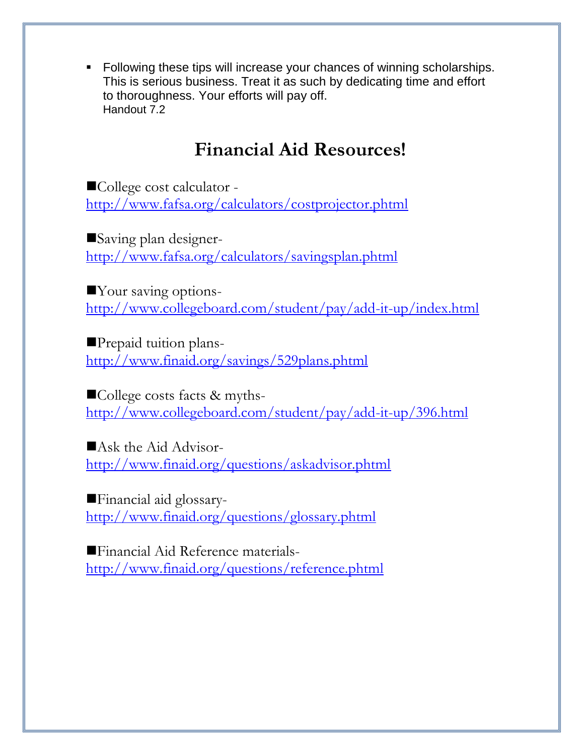• Following these tips will increase your chances of winning scholarships. This is serious business. Treat it as such by dedicating time and effort to thoroughness. Your efforts will pay off. Handout 7.2

# **Financial Aid Resources!**

College cost calculator <http://www.fafsa.org/calculators/costprojector.phtml>

Saving plan designer<http://www.fafsa.org/calculators/savingsplan.phtml>

Your saving options<http://www.collegeboard.com/student/pay/add-it-up/index.html>

Prepaid tuition plans<http://www.finaid.org/savings/529plans.phtml>

College costs facts & myths<http://www.collegeboard.com/student/pay/add-it-up/396.html>

Ask the Aid Advisor<http://www.finaid.org/questions/askadvisor.phtml>

Financial aid glossary<http://www.finaid.org/questions/glossary.phtml>

Financial Aid Reference materials<http://www.finaid.org/questions/reference.phtml>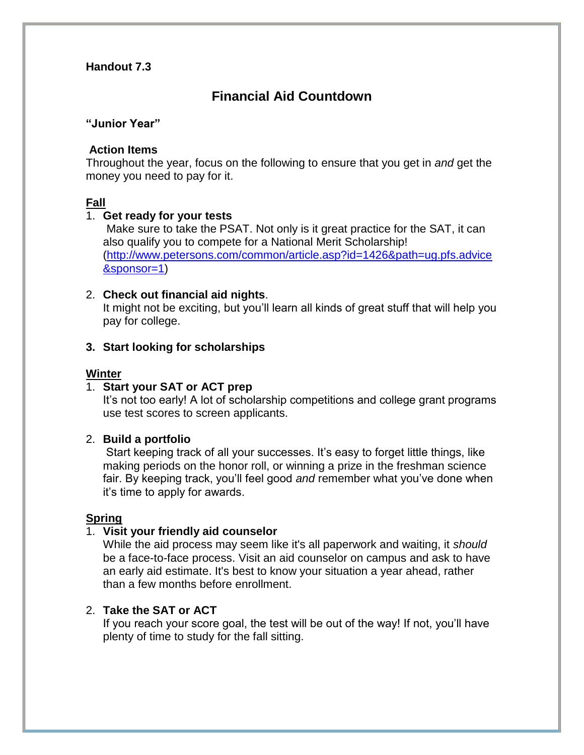#### **Handout 7.3**

### **Financial Aid Countdown**

#### **"Junior Year"**

#### **Action Items**

Throughout the year, focus on the following to ensure that you get in *and* get the money you need to pay for it.

#### **Fall**

#### 1. **Get ready for your tests**

Make sure to take the PSAT. Not only is it great practice for the SAT, it can also qualify you to compete for a National Merit Scholarship! [\(http://www.petersons.com/common/article.asp?id=1426&path=ug.pfs.advice](http://www.petersons.com/common/article.asp?id=1426&path=ug.pfs.advice&sponsor=1) [&sponsor=1\)](http://www.petersons.com/common/article.asp?id=1426&path=ug.pfs.advice&sponsor=1)

#### 2. **Check out financial aid nights**.

It might not be exciting, but you'll learn all kinds of great stuff that will help you pay for college.

#### **3. Start looking for scholarships**

#### **Winter**

#### 1. **Start your SAT or ACT prep**

It's not too early! A lot of scholarship competitions and college grant programs use test scores to screen applicants.

#### 2. **Build a portfolio**

Start keeping track of all your successes. It's easy to forget little things, like making periods on the honor roll, or winning a prize in the freshman science fair. By keeping track, you'll feel good *and* remember what you've done when it's time to apply for awards.

#### **Spring**

#### 1. **Visit your friendly aid counselor**

While the aid process may seem like it's all paperwork and waiting, it *should* be a face-to-face process. Visit an aid counselor on campus and ask to have an early aid estimate. It's best to know your situation a year ahead, rather than a few months before enrollment.

#### 2. **Take the SAT or ACT**

If you reach your score goal, the test will be out of the way! If not, you'll have plenty of time to study for the fall sitting.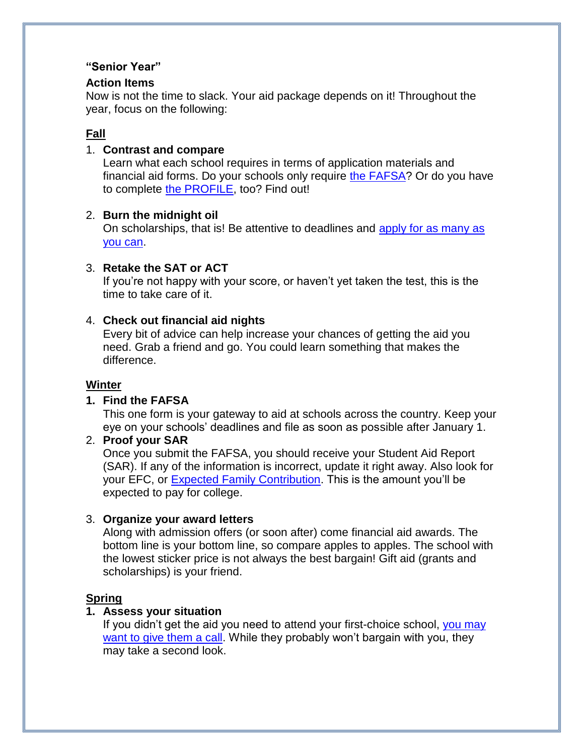#### **"Senior Year"**

#### **Action Items**

Now is not the time to slack. Your aid package depends on it! Throughout the year, focus on the following:

#### **Fall**

#### 1. **Contrast and compare**

Learn what each school requires in terms of application materials and financial aid forms. Do your schools only require [the FAFSA?](http://iiswinprd03.petersons.com/common/article.asp?id=461&sponsor=1&path=ug.pfs.advice) Or do you have to complete [the PROFILE,](http://iiswinprd03.petersons.com/common/article.asp?id=462&sponsor=1&path=ug.pfs.advice) too? Find out!

#### 2. **Burn the midnight oil**

On scholarships, that is! Be attentive to deadlines and [apply for as many as](http://iiswinprd03.petersons.com/finaid/landing.asp?id=806&path=ug.pfs.scholarships&sponsor=1)  [you can.](http://iiswinprd03.petersons.com/finaid/landing.asp?id=806&path=ug.pfs.scholarships&sponsor=1)

#### 3. **Retake the SAT or ACT**

If you're not happy with your score, or haven't yet taken the test, this is the time to take care of it.

#### 4. **Check out financial aid nights**

Every bit of advice can help increase your chances of getting the aid you need. Grab a friend and go. You could learn something that makes the difference.

#### **Winter**

#### **1. Find the FAFSA**

This one form is your gateway to aid at schools across the country. Keep your eye on your schools' deadlines and file as soon as possible after January 1.

#### 2. **Proof your SAR**

Once you submit the FAFSA, you should receive your Student Aid Report (SAR). If any of the information is incorrect, update it right away. Also look for your EFC, or **Expected Family Contribution**. This is the amount you'll be expected to pay for college.

#### 3. **Organize your award letters**

Along with admission offers (or soon after) come financial aid awards. The bottom line is your bottom line, so compare apples to apples. The school with the lowest sticker price is not always the best bargain! Gift aid (grants and scholarships) is your friend.

#### **Spring**

#### **1. Assess your situation**

If you didn't get the aid you need to attend your first-choice school, you may [want to give them a call.](http://iiswinprd03.petersons.com/common/article.asp?id=513&sponsor=1&path=ug.pfs.advice) While they probably won't bargain with you, they may take a second look.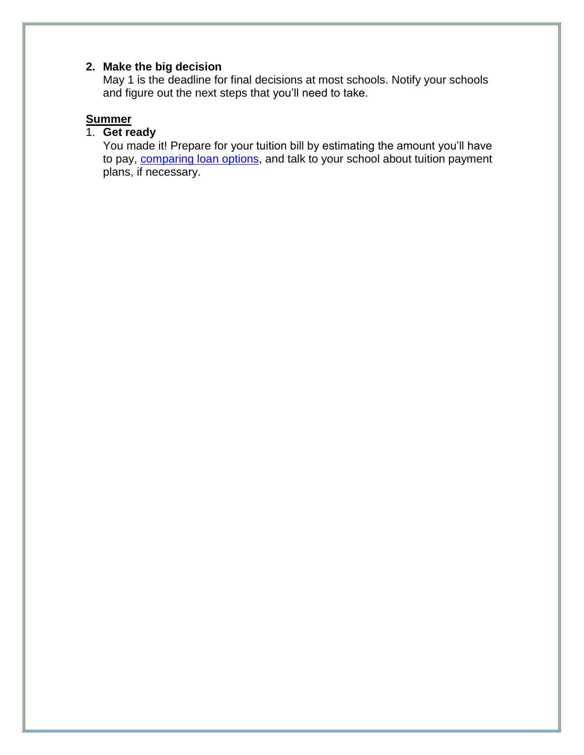### **2. Make the big decision**

May 1 is the deadline for final decisions at most schools. Notify your schools and figure out the next steps that you'll need to take.

### **Summer**

### 1. **Get ready**

You made it! Prepare for your tuition bill by estimating the amount you'll have to pay, [comparing loan options,](http://iiswinprd03.petersons.com/finaid/file.asp?id=1026&path=ug.pfs.student&sponsor=1) and talk to your school about tuition payment plans, if necessary.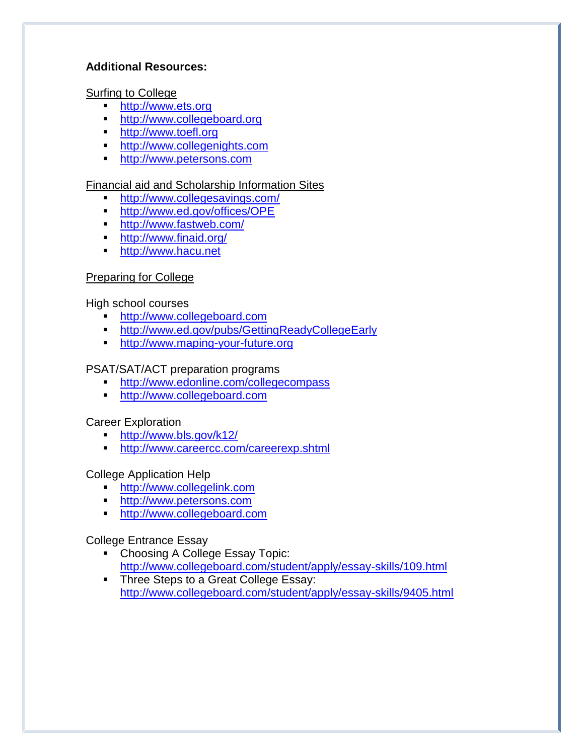#### **Additional Resources:**

Surfing to College

- **[http://www.ets.org](http://www.ets.org/)**
- **[http://www.collegeboard.org](http://www.collegeboard.org/)**
- **[http://www.toefl.org](http://www.toefl.org/)**
- **[http://www.collegenights.com](http://www.collegenights.com/)**
- **[http://www.petersons.com](http://www.petersons.com/)**

### Financial aid and Scholarship Information Sites

- **<http://www.collegesavings.com/>**
- **<http://www.ed.gov/offices/OPE>**
- **<http://www.fastweb.com/>**
- <http://www.finaid.org/>
- **[http://www.hacu.net](http://www.hacu.net/)**

### Preparing for College

High school courses

- [http://www.collegeboard.com](http://www.collegeboard.com/)
- <http://www.ed.gov/pubs/GettingReadyCollegeEarly>
- [http://www.maping-your-future.org](http://www.maping-your-future.org/)

### PSAT/SAT/ACT preparation programs

- <http://www.edonline.com/collegecompass>
- **[http://www.collegeboard.com](http://www.collegeboard.com/)**

### Career Exploration

- <http://www.bls.gov/k12/><br>http://www.careercc.com
- <http://www.careercc.com/careerexp.shtml>

College Application Help

- [http://www.collegelink.com](http://www.collegelink.com/)
- **[http://www.petersons.com](http://www.petersons.com/)**
- **[http://www.collegeboard.com](http://www.collegeboard.com/)**

College Entrance Essay

- Choosing A College Essay Topic: <http://www.collegeboard.com/student/apply/essay-skills/109.html>
- **Three Steps to a Great College Essay:** <http://www.collegeboard.com/student/apply/essay-skills/9405.html>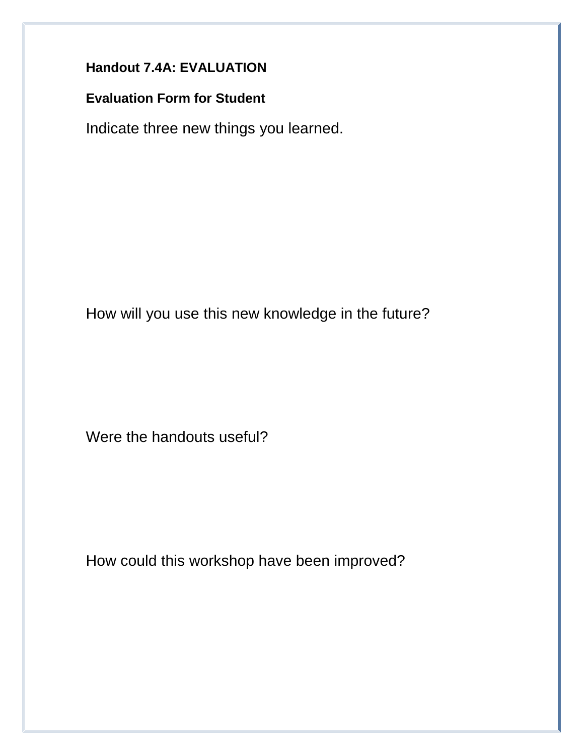# **Handout 7.4A: EVALUATION**

# **Evaluation Form for Student**

Indicate three new things you learned.

How will you use this new knowledge in the future?

Were the handouts useful?

How could this workshop have been improved?